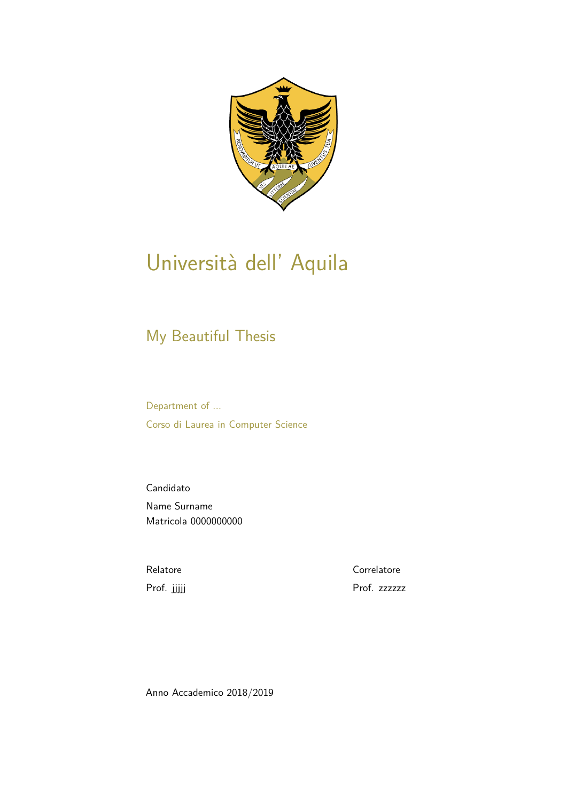

## Università dell' Aquila

### My Beautiful Thesis

Department of ... Corso di Laurea in Computer Science

Candidato Name Surname Matricola 0000000000

Relatore Prof. jjjjj **Correlatore** Prof. zzzzzz

Anno Accademico 2018/2019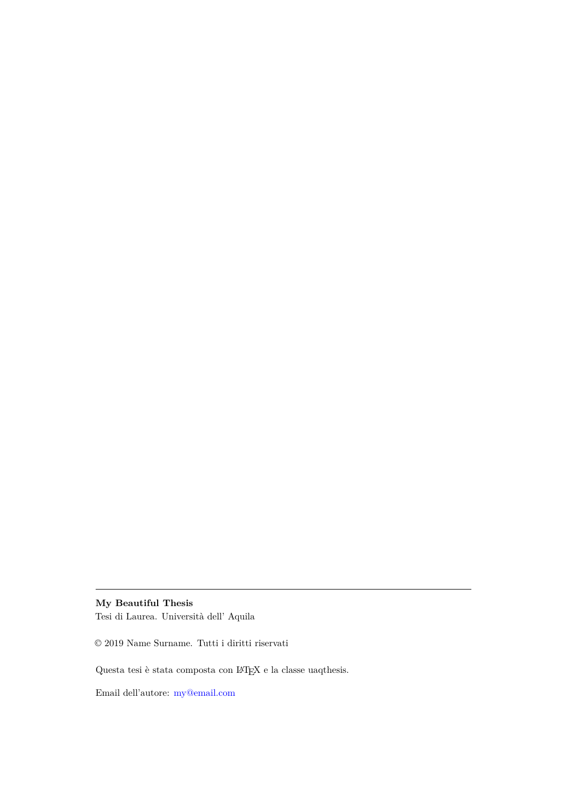#### **My Beautiful Thesis**

Tesi di Laurea. Università dell' Aquila

 $\odot$  2019 Name Surname. Tutti i diritti riservati

Questa tesi è stata composta con L<sup>A</sup>TEX e la classe uaqthesis.

Email dell'autore: [my@email.com](mailto:my@email.com)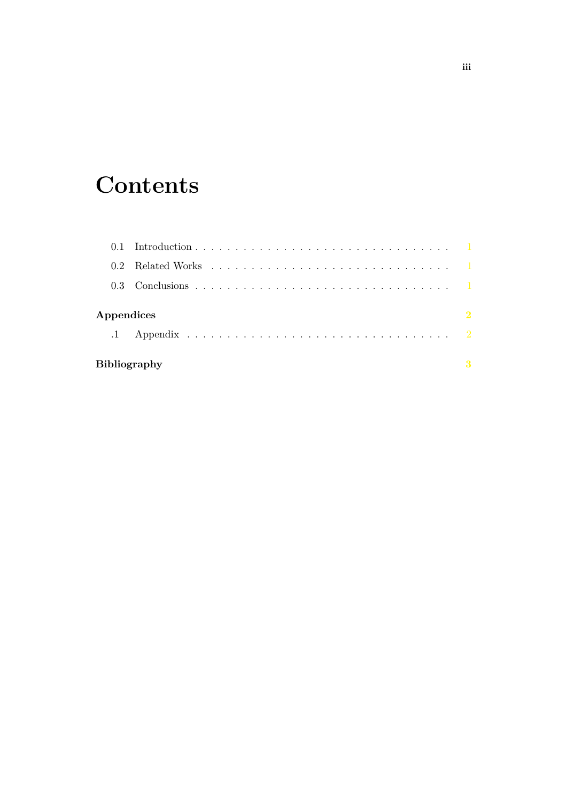## **Contents**

| Appendices<br>$\cdot$ 1 |                           | $\overline{\mathbf{2}}$ |
|-------------------------|---------------------------|-------------------------|
|                         | <b>Bibliography</b><br>-3 |                         |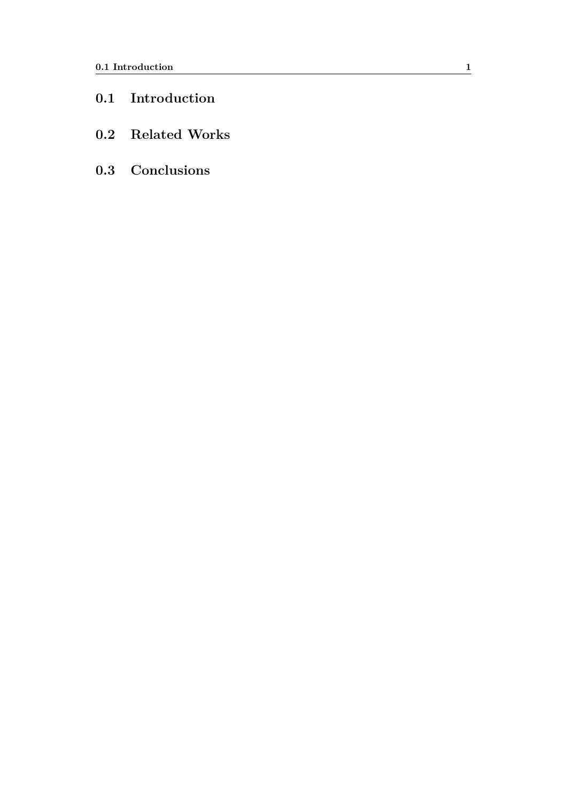- <span id="page-4-0"></span>**0.1 Introduction**
- <span id="page-4-1"></span>**0.2 Related Works**
- <span id="page-4-2"></span>**0.3 Conclusions**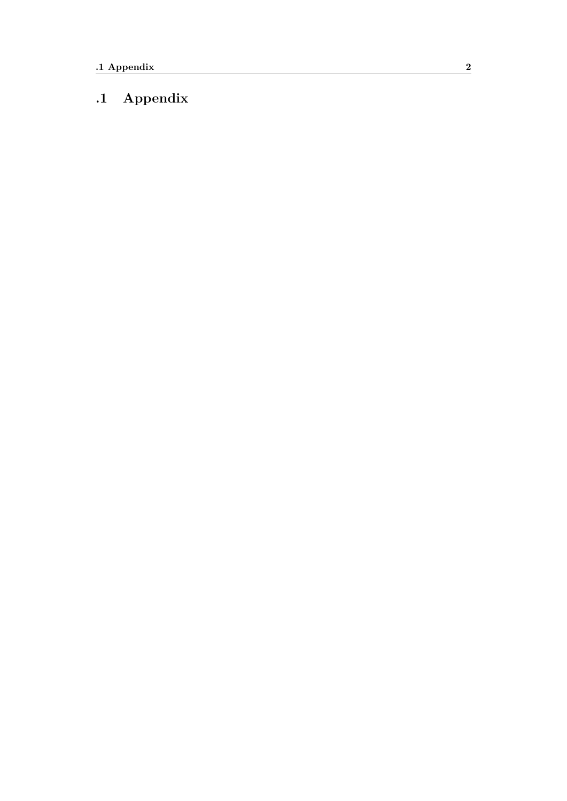#### <span id="page-5-0"></span>**.1 Appendix**